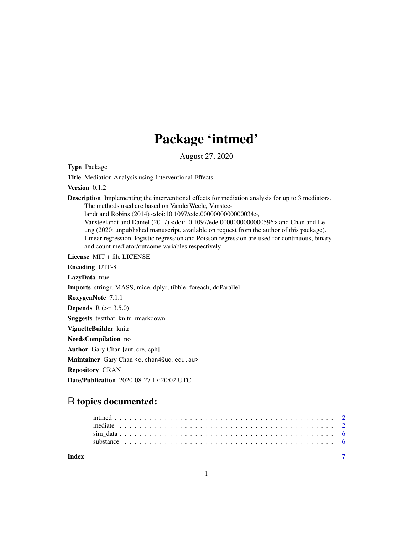## Package 'intmed'

August 27, 2020

Type Package

Title Mediation Analysis using Interventional Effects

Version 0.1.2

Description Implementing the interventional effects for mediation analysis for up to 3 mediators. The methods used are based on VanderWeele, Vanstee-

landt and Robins (2014) <doi:10.1097/ede.0000000000000034>,

Vansteelandt and Daniel (2017) <doi:10.1097/ede.0000000000000596> and Chan and Leung (2020; unpublished manuscript, available on request from the author of this package). Linear regression, logistic regression and Poisson regression are used for continuous, binary and count mediator/outcome variables respectively.

License MIT + file LICENSE

Encoding UTF-8

LazyData true

Imports stringr, MASS, mice, dplyr, tibble, foreach, doParallel

RoxygenNote 7.1.1

**Depends** R  $(>= 3.5.0)$ 

Suggests testthat, knitr, rmarkdown

VignetteBuilder knitr

NeedsCompilation no

Author Gary Chan [aut, cre, cph]

Maintainer Gary Chan <c.chan4@uq.edu.au>

Repository CRAN

Date/Publication 2020-08-27 17:20:02 UTC

### R topics documented:

| Index |  |  |  |  |  |  |  |  |  |  |  |  |  |  |  |  |  |  |  |  |  |  |
|-------|--|--|--|--|--|--|--|--|--|--|--|--|--|--|--|--|--|--|--|--|--|--|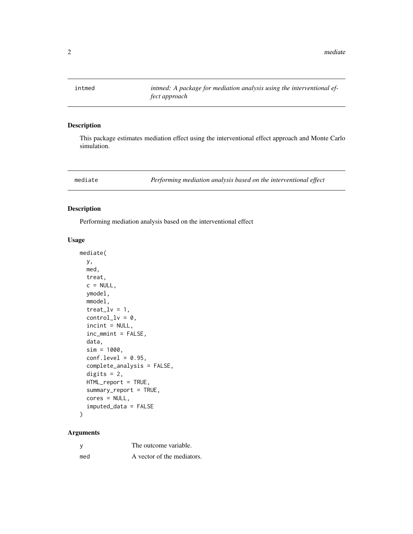<span id="page-1-0"></span>intmed *intmed: A package for mediation analysis using the interventional effect approach*

#### Description

This package estimates mediation effect using the interventional effect approach and Monte Carlo simulation.

mediate *Performing mediation analysis based on the interventional effect*

#### Description

Performing mediation analysis based on the interventional effect

#### Usage

```
mediate(
 y,
 med,
  treat,
  c = NULL,ymodel,
 mmodel,
  treat_l = 1,
  control_l = 0,
  incint = NULL,inc_mmint = FALSE,
  data,
  sim = 1000,conf. level = 0.95,complete_analysis = FALSE,
  digits = 2,
 HTML_report = TRUE,
  summary_report = TRUE,
  cores = NULL,
  imputed_data = FALSE
)
```
#### Arguments

|     | The outcome variable.      |
|-----|----------------------------|
| med | A vector of the mediators. |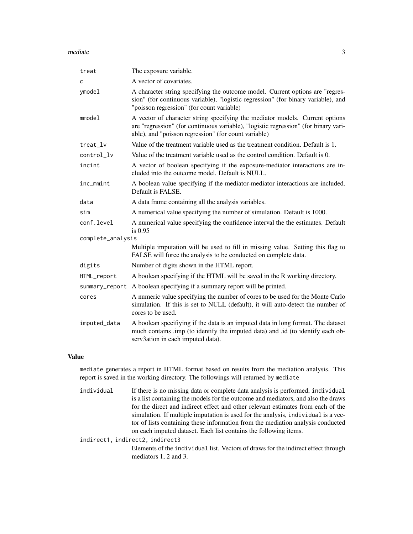#### mediate 3

| treat             | The exposure variable.                                                                                                                                                                                                      |
|-------------------|-----------------------------------------------------------------------------------------------------------------------------------------------------------------------------------------------------------------------------|
| с                 | A vector of covariates.                                                                                                                                                                                                     |
| ymodel            | A character string specifying the outcome model. Current options are "regres-<br>sion" (for continuous variable), "logistic regression" (for binary variable), and<br>"poisson regression" (for count variable)             |
| mmode1            | A vector of character string specifying the mediator models. Current options<br>are "regression" (for continuous variable), "logistic regression" (for binary vari-<br>able), and "poisson regression" (for count variable) |
| treat_lv          | Value of the treatment variable used as the treatment condition. Default is 1.                                                                                                                                              |
| control_lv        | Value of the treatment variable used as the control condition. Default is 0.                                                                                                                                                |
| incint            | A vector of boolean specifying if the exposure-mediator interactions are in-<br>cluded into the outcome model. Default is NULL.                                                                                             |
| inc_mmint         | A boolean value specifying if the mediator-mediator interactions are included.<br>Default is FALSE.                                                                                                                         |
| data              | A data frame containing all the analysis variables.                                                                                                                                                                         |
| sim               | A numerical value specifying the number of simulation. Default is 1000.                                                                                                                                                     |
| conf.level        | A numerical value specifying the confidence interval the the estimates. Default<br>is $0.95$                                                                                                                                |
| complete_analysis |                                                                                                                                                                                                                             |
|                   | Multiple imputation will be used to fill in missing value. Setting this flag to<br>FALSE will force the analysis to be conducted on complete data.                                                                          |
| digits            | Number of digits shown in the HTML report.                                                                                                                                                                                  |
| HTML_report       | A boolean specifying if the HTML will be saved in the R working directory.                                                                                                                                                  |
| summary_report    | A boolean specifying if a summary report will be printed.                                                                                                                                                                   |
| cores             | A numeric value specifying the number of cores to be used for the Monte Carlo<br>simulation. If this is set to NULL (default), it will auto-detect the number of<br>cores to be used.                                       |
| imputed_data      | A boolean specifiying if the data is an imputed data in long format. The dataset<br>much contains .imp (to identify the imputed data) and .id (to identify each ob-<br>serv3ation in each imputed data).                    |

#### Value

mediate generates a report in HTML format based on results from the mediation analysis. This report is saved in the working directory. The followings will returned by mediate

individual If there is no missing data or complete data analysis is performed, individual is a list containing the models for the outcome and mediators, and also the draws for the direct and indirect effect and other relevant estimates from each of the simulation. If multiple imputation is used for the analysis, individual is a vector of lists containing these information from the mediation analysis conducted on each imputed dataset. Each list contains the following items.

indirect1, indirect2, indirect3 Elements of the individual list. Vectors of draws for the indirect effect through mediators 1, 2 and 3.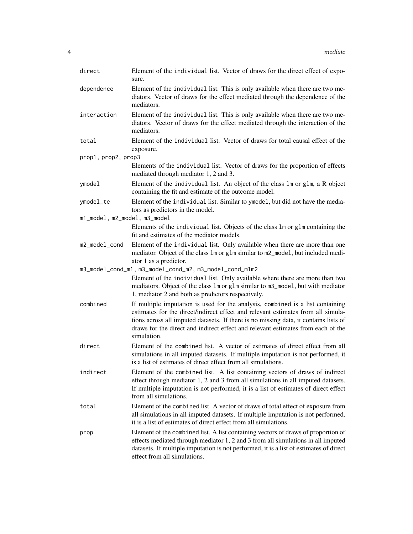| direct                       | Element of the individual list. Vector of draws for the direct effect of expo-<br>sure.                                                                                                                                                                                                                                                                       |
|------------------------------|---------------------------------------------------------------------------------------------------------------------------------------------------------------------------------------------------------------------------------------------------------------------------------------------------------------------------------------------------------------|
| dependence                   | Element of the individual list. This is only available when there are two me-<br>diators. Vector of draws for the effect mediated through the dependence of the<br>mediators.                                                                                                                                                                                 |
| interaction                  | Element of the individual list. This is only available when there are two me-<br>diators. Vector of draws for the effect mediated through the interaction of the<br>mediators.                                                                                                                                                                                |
| total                        | Element of the individual list. Vector of draws for total causal effect of the<br>exposure.                                                                                                                                                                                                                                                                   |
| prop1, prop2, prop3          |                                                                                                                                                                                                                                                                                                                                                               |
|                              | Elements of the individual list. Vector of draws for the proportion of effects<br>mediated through mediator 1, 2 and 3.                                                                                                                                                                                                                                       |
| ymodel                       | Element of the individual list. An object of the class 1m or g1m, a R object<br>containing the fit and estimate of the outcome model.                                                                                                                                                                                                                         |
| ymodel_te                    | Element of the individual list. Similar to ymodel, but did not have the media-<br>tors as predictors in the model.                                                                                                                                                                                                                                            |
| m1_model, m2_model, m3_model |                                                                                                                                                                                                                                                                                                                                                               |
|                              | Elements of the individual list. Objects of the class 1m or g1m containing the<br>fit and estimates of the mediator models.                                                                                                                                                                                                                                   |
| m2_model_cond                | Element of the individual list. Only available when there are more than one<br>mediator. Object of the class 1m or g1m similar to m2_mode1, but included medi-<br>ator 1 as a predictor.                                                                                                                                                                      |
|                              | m3_model_cond_m1, m3_model_cond_m2, m3_model_cond_m1m2                                                                                                                                                                                                                                                                                                        |
|                              | Element of the individual list. Only available where there are more than two<br>mediators. Object of the class 1m or g1m similar to m3_mode1, but with mediator<br>1, mediator 2 and both as predictors respectively.                                                                                                                                         |
| combined                     | If multiple imputation is used for the analysis, combined is a list containing<br>estimates for the direct/indirect effect and relevant estimates from all simula-<br>tions across all imputed datasets. If there is no missing data, it contains lists of<br>draws for the direct and indirect effect and relevant estimates from each of the<br>simulation. |
| direct                       | Element of the combined list. A vector of estimates of direct effect from all<br>simulations in all imputed datasets. If multiple imputation is not performed, it<br>is a list of estimates of direct effect from all simulations.                                                                                                                            |
| indirect                     | Element of the combined list. A list containing vectors of draws of indirect<br>effect through mediator 1, 2 and 3 from all simulations in all imputed datasets.<br>If multiple imputation is not performed, it is a list of estimates of direct effect<br>from all simulations.                                                                              |
| total                        | Element of the combined list. A vector of draws of total effect of exposure from<br>all simulations in all imputed datasets. If multiple imputation is not performed,<br>it is a list of estimates of direct effect from all simulations.                                                                                                                     |
| prop                         | Element of the combined list. A list containing vectors of draws of proportion of<br>effects mediated through mediator 1, 2 and 3 from all simulations in all imputed<br>datasets. If multiple imputation is not performed, it is a list of estimates of direct<br>effect from all simulations.                                                               |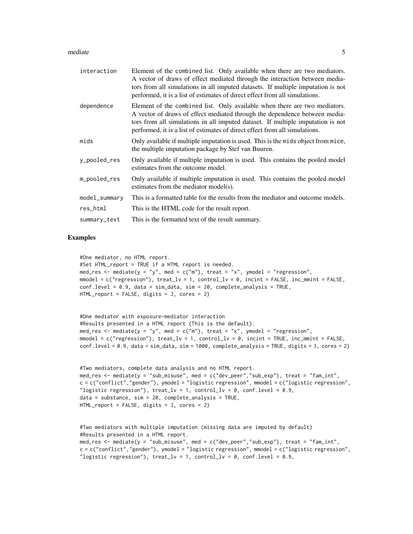#### mediate 5

| interaction   | Element of the combined list. Only available when there are two mediators.<br>A vector of draws of effect mediated through the interaction between media-<br>tors from all simulations in all imputed datasets. If multiple imputation is not<br>performed, it is a list of estimates of direct effect from all simulations. |
|---------------|------------------------------------------------------------------------------------------------------------------------------------------------------------------------------------------------------------------------------------------------------------------------------------------------------------------------------|
| dependence    | Element of the combined list. Only available when there are two mediators.<br>A vector of draws of effect mediated through the dependence between media-<br>tors from all simulations in all imputed dataset. If multiple imputation is not<br>performed, it is a list of estimates of direct effect from all simulations.   |
| mids          | Only available if multiple imputation is used. This is the mids object from mice,<br>the multiple imputation package by Stef van Buuren.                                                                                                                                                                                     |
| y_pooled_res  | Only available if multiple imputation is used. This contains the pooled model<br>estimates from the outcome model.                                                                                                                                                                                                           |
| m_pooled_res  | Only available if multiple imputation is used. This contains the pooled model<br>estimates from the mediator model(s).                                                                                                                                                                                                       |
| model_summary | This is a formatted table for the results from the mediator and outcome models.                                                                                                                                                                                                                                              |
| res_html      | This is the HTML code for the result report.                                                                                                                                                                                                                                                                                 |
| summary_text  | This is the formatted text of the result summary.                                                                                                                                                                                                                                                                            |

#### Examples

```
#One mediator, no HTML report.
```

```
#Set HTML_report = TRUE if a HTML report is needed.
med_res <- mediate(y = "y", med = c("m"), treat = "x", ymodel = "regression",
mmodel = c("regression"), treat_lv = 1, control_lv = 0, incint = FALSE, inc_mmint = FALSE,
conf. level = 0.9, data = sim_data, sim = 20, complete_analysis = TRUE,
HTML_report = FALSE, digits = 3, cores = 2)
```

```
#One mediator with exposure-mediator interaction
#Results presented in a HTML report (This is the default).
med_res <- mediate(y = "y", med = c("m"), treat = "x", ymodel = "regression",
mmodel = c("regression"), treat_lv = 1, control_lv = 0, incint = TRUE, inc_mmint = FALSE,
conf.level = 0.9, data = sim_data, sim = 1000, complete_analysis = TRUE, digits = 3, cores = 2)
```

```
#Two mediators, complete data analysis and no HTML report.
med_res <- mediate(y = "sub_misuse", med = c("dev_peer","sub_exp"), treat = "fam_int",
c = c("conflict","gender"), ymodel = "logistic regression", mmodel = c("logistic regression",
"logistic regression"), treat_lv = 1, control_lv = 0, conf.level = 0.9,
data = substance, sim = 20, complete_analysis = TRUE,
HTML_report = FALSE, digits = 3, cores = 2)
```

```
#Two mediators with multiple imputation (missing data are imputed by default)
#Results presented in a HTML report.
med_res <- mediate(y = "sub_misuse", med = c("dev_peer","sub_exp"), treat = "fam_int",
c = c("conflict","gender"), ymodel = "logistic regression", mmodel = c("logistic regression",
"logistic regression"), treat_lv = 1, control_lv = 0, conf.level = 0.9,
```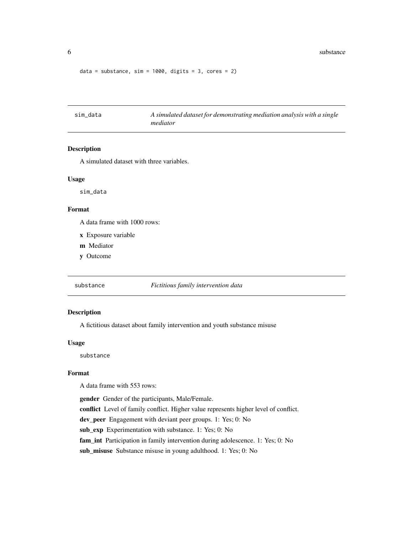#### <span id="page-5-0"></span>6 substance substance substance substance substance substance substance substance

```
data = substance, sim = 1000, digits = 3, cores = 2)
```
sim\_data *A simulated dataset for demonstrating mediation analysis with a single mediator*

#### Description

A simulated dataset with three variables.

#### Usage

sim\_data

#### Format

A data frame with 1000 rows:

- x Exposure variable
- m Mediator
- y Outcome

substance *Fictitious family intervention data*

#### Description

A fictitious dataset about family intervention and youth substance misuse

#### Usage

substance

#### Format

A data frame with 553 rows:

gender Gender of the participants, Male/Female. conflict Level of family conflict. Higher value represents higher level of conflict. dev\_peer Engagement with deviant peer groups. 1: Yes; 0: No sub\_exp Experimentation with substance. 1: Yes; 0: No fam\_int Participation in family intervention during adolescence. 1: Yes; 0: No sub\_misuse Substance misuse in young adulthood. 1: Yes; 0: No